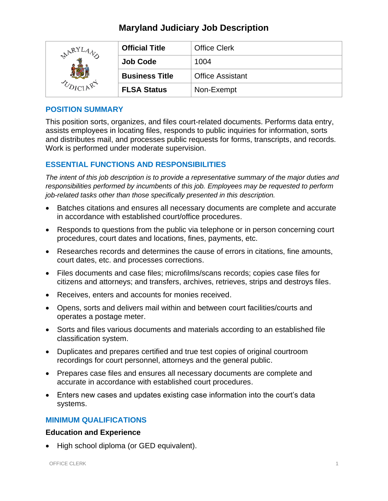# **Maryland Judiciary Job Description**

| ARYL | <b>Official Title</b> | <b>Office Clerk</b>     |
|------|-----------------------|-------------------------|
|      | <b>Job Code</b>       | 1004                    |
|      | <b>Business Title</b> | <b>Office Assistant</b> |
|      | <b>FLSA Status</b>    | Non-Exempt              |

## **POSITION SUMMARY**

This position sorts, organizes, and files court-related documents. Performs data entry, assists employees in locating files, responds to public inquiries for information, sorts and distributes mail, and processes public requests for forms, transcripts, and records. Work is performed under moderate supervision.

# **ESSENTIAL FUNCTIONS AND RESPONSIBILITIES**

*The intent of this job description is to provide a representative summary of the major duties and responsibilities performed by incumbents of this job. Employees may be requested to perform job-related tasks other than those specifically presented in this description.*

- Batches citations and ensures all necessary documents are complete and accurate in accordance with established court/office procedures.
- Responds to questions from the public via telephone or in person concerning court procedures, court dates and locations, fines, payments, etc.
- Researches records and determines the cause of errors in citations, fine amounts, court dates, etc. and processes corrections.
- Files documents and case files; microfilms/scans records; copies case files for citizens and attorneys; and transfers, archives, retrieves, strips and destroys files.
- Receives, enters and accounts for monies received.
- Opens, sorts and delivers mail within and between court facilities/courts and operates a postage meter.
- Sorts and files various documents and materials according to an established file classification system.
- Duplicates and prepares certified and true test copies of original courtroom recordings for court personnel, attorneys and the general public.
- Prepares case files and ensures all necessary documents are complete and accurate in accordance with established court procedures.
- Enters new cases and updates existing case information into the court's data systems.

# **MINIMUM QUALIFICATIONS**

## **Education and Experience**

• High school diploma (or GED equivalent).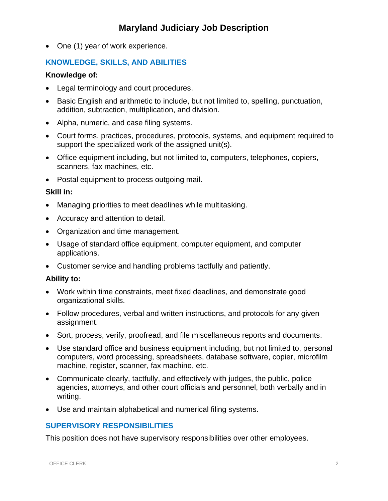# **Maryland Judiciary Job Description**

• One (1) year of work experience.

## **KNOWLEDGE, SKILLS, AND ABILITIES**

#### **Knowledge of:**

- Legal terminology and court procedures.
- Basic English and arithmetic to include, but not limited to, spelling, punctuation, addition, subtraction, multiplication, and division.
- Alpha, numeric, and case filing systems.
- Court forms, practices, procedures, protocols, systems, and equipment required to support the specialized work of the assigned unit(s).
- Office equipment including, but not limited to, computers, telephones, copiers, scanners, fax machines, etc.
- Postal equipment to process outgoing mail.

#### **Skill in:**

- Managing priorities to meet deadlines while multitasking.
- Accuracy and attention to detail.
- Organization and time management.
- Usage of standard office equipment, computer equipment, and computer applications.
- Customer service and handling problems tactfully and patiently.

#### **Ability to:**

- Work within time constraints, meet fixed deadlines, and demonstrate good organizational skills.
- Follow procedures, verbal and written instructions, and protocols for any given assignment.
- Sort, process, verify, proofread, and file miscellaneous reports and documents.
- Use standard office and business equipment including, but not limited to, personal computers, word processing, spreadsheets, database software, copier, microfilm machine, register, scanner, fax machine, etc.
- Communicate clearly, tactfully, and effectively with judges, the public, police agencies, attorneys, and other court officials and personnel, both verbally and in writing.
- Use and maintain alphabetical and numerical filing systems.

## **SUPERVISORY RESPONSIBILITIES**

This position does not have supervisory responsibilities over other employees.